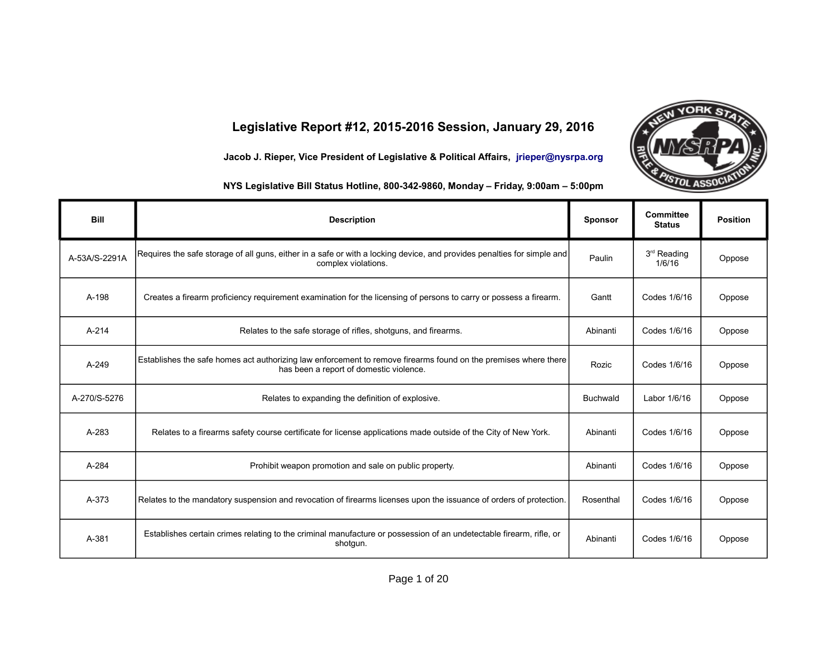## **Legislative Report #12, 2015-2016 Session, January 29, 2016**

**Jacob J. Rieper, Vice President of Legislative & Political Affairs, [jrieper@nysrpa.org](mailto:jrieper@nysrpa.org)**



**VORK S** 

**NYS Legislative Bill Status Hotline, 800-342-9860, Monday – Friday, 9:00am – 5:00pm**

| <b>Bill</b>   | <b>Description</b>                                                                                                                                         | <b>Sponsor</b>  | <b>Committee</b><br><b>Status</b> | <b>Position</b> |
|---------------|------------------------------------------------------------------------------------------------------------------------------------------------------------|-----------------|-----------------------------------|-----------------|
| A-53A/S-2291A | Requires the safe storage of all guns, either in a safe or with a locking device, and provides penalties for simple and<br>complex violations.             | Paulin          | 3 <sup>rd</sup> Reading<br>1/6/16 | Oppose          |
| A-198         | Creates a firearm proficiency requirement examination for the licensing of persons to carry or possess a firearm.                                          | Gantt           | Codes 1/6/16                      | Oppose          |
| $A - 214$     | Relates to the safe storage of rifles, shotguns, and firearms.                                                                                             | Abinanti        | Codes 1/6/16                      | Oppose          |
| A-249         | Establishes the safe homes act authorizing law enforcement to remove firearms found on the premises where there<br>has been a report of domestic violence. | Rozic           | Codes 1/6/16                      | Oppose          |
| A-270/S-5276  | Relates to expanding the definition of explosive.                                                                                                          | <b>Buchwald</b> | Labor 1/6/16                      | Oppose          |
| A-283         | Relates to a firearms safety course certificate for license applications made outside of the City of New York.                                             | Abinanti        | Codes 1/6/16                      | Oppose          |
| A-284         | Prohibit weapon promotion and sale on public property.                                                                                                     | Abinanti        | Codes 1/6/16                      | Oppose          |
| A-373         | Relates to the mandatory suspension and revocation of firearms licenses upon the issuance of orders of protection.                                         | Rosenthal       | Codes 1/6/16                      | Oppose          |
| A-381         | Establishes certain crimes relating to the criminal manufacture or possession of an undetectable firearm, rifle, or<br>shotgun.                            | Abinanti        | Codes 1/6/16                      | Oppose          |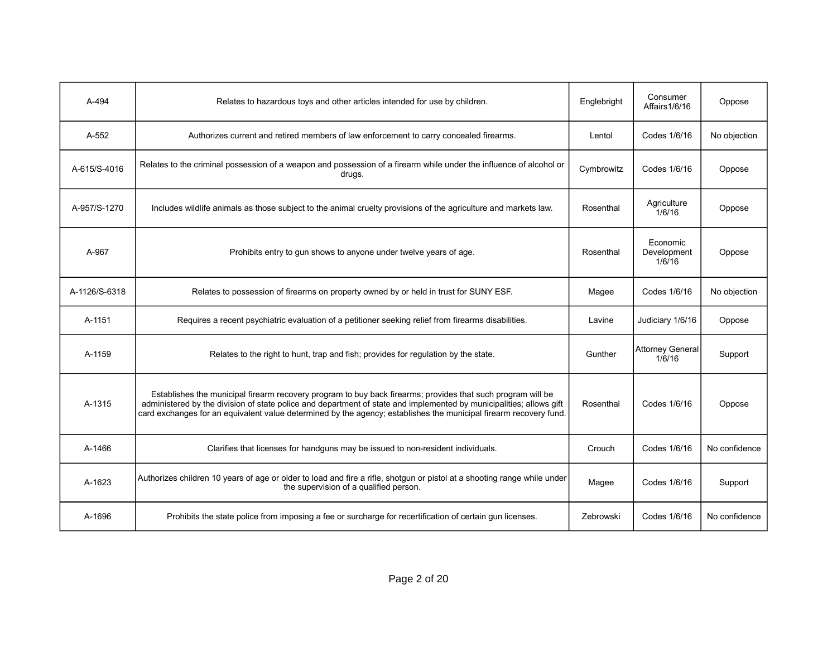| A-494         | Relates to hazardous toys and other articles intended for use by children.                                                                                                                                                                                                                                                                              | Englebright | Consumer<br>Affairs1/6/16         | Oppose        |
|---------------|---------------------------------------------------------------------------------------------------------------------------------------------------------------------------------------------------------------------------------------------------------------------------------------------------------------------------------------------------------|-------------|-----------------------------------|---------------|
| A-552         | Authorizes current and retired members of law enforcement to carry concealed firearms.                                                                                                                                                                                                                                                                  | Lentol      | Codes 1/6/16                      | No objection  |
| A-615/S-4016  | Relates to the criminal possession of a weapon and possession of a firearm while under the influence of alcohol or<br>drugs.                                                                                                                                                                                                                            | Cymbrowitz  | Codes 1/6/16                      | Oppose        |
| A-957/S-1270  | Includes wildlife animals as those subject to the animal cruelty provisions of the agriculture and markets law.                                                                                                                                                                                                                                         | Rosenthal   | Agriculture<br>1/6/16             | Oppose        |
| A-967         | Prohibits entry to gun shows to anyone under twelve years of age.                                                                                                                                                                                                                                                                                       | Rosenthal   | Economic<br>Development<br>1/6/16 | Oppose        |
| A-1126/S-6318 | Relates to possession of firearms on property owned by or held in trust for SUNY ESF.                                                                                                                                                                                                                                                                   | Magee       | Codes 1/6/16                      | No objection  |
| A-1151        | Requires a recent psychiatric evaluation of a petitioner seeking relief from firearms disabilities.                                                                                                                                                                                                                                                     | Lavine      | Judiciary 1/6/16                  | Oppose        |
| A-1159        | Relates to the right to hunt, trap and fish; provides for regulation by the state.                                                                                                                                                                                                                                                                      | Gunther     | <b>Attorney General</b><br>1/6/16 | Support       |
| A-1315        | Establishes the municipal firearm recovery program to buy back firearms; provides that such program will be<br>administered by the division of state police and department of state and implemented by municipalities; allows gift<br>card exchanges for an equivalent value determined by the agency; establishes the municipal firearm recovery fund. | Rosenthal   | Codes 1/6/16                      | Oppose        |
| A-1466        | Clarifies that licenses for handguns may be issued to non-resident individuals.                                                                                                                                                                                                                                                                         | Crouch      | Codes 1/6/16                      | No confidence |
| A-1623        | Authorizes children 10 years of age or older to load and fire a rifle, shotgun or pistol at a shooting range while under<br>the supervision of a qualified person.                                                                                                                                                                                      | Magee       | Codes 1/6/16                      | Support       |
| A-1696        | Prohibits the state police from imposing a fee or surcharge for recertification of certain gun licenses.                                                                                                                                                                                                                                                | Zebrowski   | Codes 1/6/16                      | No confidence |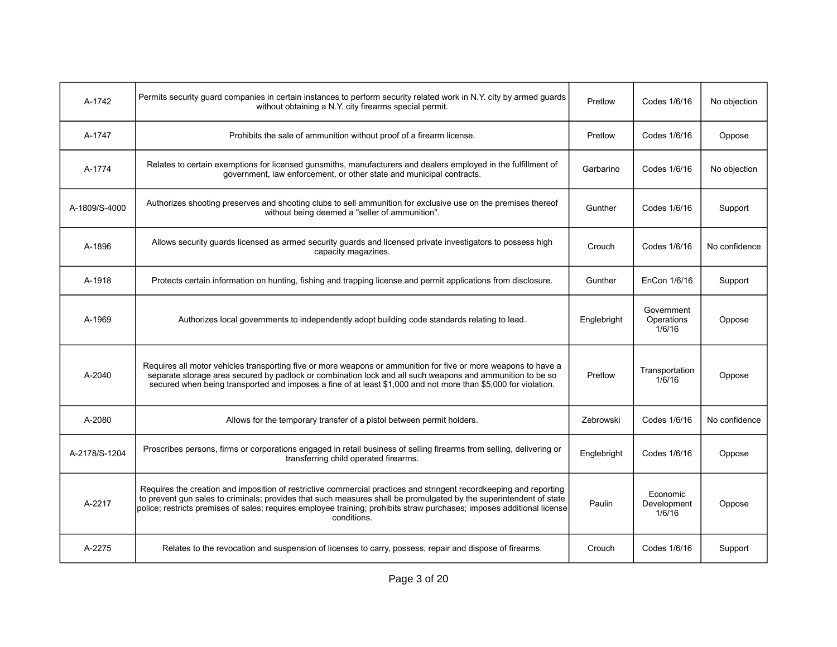| A-1742        | Permits security quard companies in certain instances to perform security related work in N.Y. city by armed quards<br>without obtaining a N.Y. city firearms special permit.                                                                                                                                                                                                     | Pretlow     | Codes 1/6/16                       | No objection  |
|---------------|-----------------------------------------------------------------------------------------------------------------------------------------------------------------------------------------------------------------------------------------------------------------------------------------------------------------------------------------------------------------------------------|-------------|------------------------------------|---------------|
| A-1747        | Prohibits the sale of ammunition without proof of a firearm license.                                                                                                                                                                                                                                                                                                              | Pretlow     | Codes 1/6/16                       | Oppose        |
| A-1774        | Relates to certain exemptions for licensed gunsmiths, manufacturers and dealers employed in the fulfillment of<br>government, law enforcement, or other state and municipal contracts.                                                                                                                                                                                            | Garbarino   | Codes 1/6/16                       | No objection  |
| A-1809/S-4000 | Authorizes shooting preserves and shooting clubs to sell ammunition for exclusive use on the premises thereof<br>without being deemed a "seller of ammunition".                                                                                                                                                                                                                   | Gunther     | Codes 1/6/16                       | Support       |
| A-1896        | Allows security guards licensed as armed security guards and licensed private investigators to possess high<br>capacity magazines.                                                                                                                                                                                                                                                | Crouch      | Codes 1/6/16                       | No confidence |
| A-1918        | Protects certain information on hunting, fishing and trapping license and permit applications from disclosure.                                                                                                                                                                                                                                                                    | Gunther     | EnCon 1/6/16                       | Support       |
| A-1969        | Authorizes local governments to independently adopt building code standards relating to lead.                                                                                                                                                                                                                                                                                     | Englebright | Government<br>Operations<br>1/6/16 | Oppose        |
| A-2040        | Requires all motor vehicles transporting five or more weapons or ammunition for five or more weapons to have a<br>separate storage area secured by padlock or combination lock and all such weapons and ammunition to be so<br>secured when being transported and imposes a fine of at least \$1,000 and not more than \$5,000 for violation.                                     | Pretlow     | Transportation<br>1/6/16           | Oppose        |
| A-2080        | Allows for the temporary transfer of a pistol between permit holders.                                                                                                                                                                                                                                                                                                             | Zebrowski   | Codes 1/6/16                       | No confidence |
| A-2178/S-1204 | Proscribes persons, firms or corporations engaged in retail business of selling firearms from selling, delivering or<br>transferring child operated firearms.                                                                                                                                                                                                                     | Englebright | Codes 1/6/16                       | Oppose        |
| A-2217        | Requires the creation and imposition of restrictive commercial practices and stringent recordkeeping and reporting<br>to prevent gun sales to criminals; provides that such measures shall be promulgated by the superintendent of state<br>police; restricts premises of sales; requires employee training; prohibits straw purchases; imposes additional license<br>conditions. | Paulin      | Economic<br>Development<br>1/6/16  | Oppose        |
| A-2275        | Relates to the revocation and suspension of licenses to carry, possess, repair and dispose of firearms.                                                                                                                                                                                                                                                                           | Crouch      | Codes 1/6/16                       | Support       |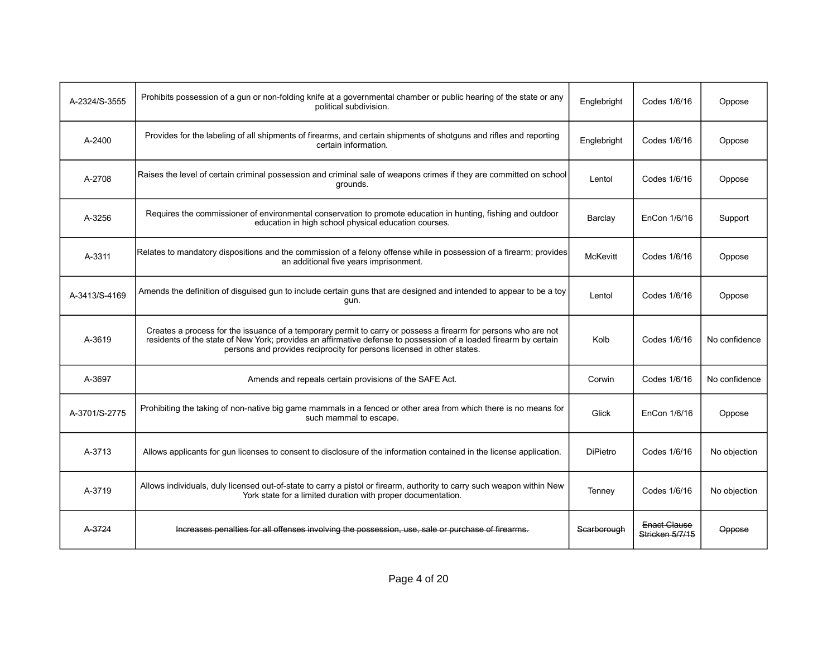| A-2324/S-3555 | Prohibits possession of a gun or non-folding knife at a governmental chamber or public hearing of the state or any<br>political subdivision.                                                                                                                                                                 | Englebright     | Codes 1/6/16                    | Oppose        |
|---------------|--------------------------------------------------------------------------------------------------------------------------------------------------------------------------------------------------------------------------------------------------------------------------------------------------------------|-----------------|---------------------------------|---------------|
| A-2400        | Provides for the labeling of all shipments of firearms, and certain shipments of shotguns and rifles and reporting<br>certain information.                                                                                                                                                                   | Englebright     | Codes 1/6/16                    | Oppose        |
| A-2708        | Raises the level of certain criminal possession and criminal sale of weapons crimes if they are committed on school<br>grounds.                                                                                                                                                                              | Lentol          | Codes 1/6/16                    | Oppose        |
| A-3256        | Requires the commissioner of environmental conservation to promote education in hunting, fishing and outdoor<br>education in high school physical education courses.                                                                                                                                         | Barclay         | EnCon 1/6/16                    | Support       |
| A-3311        | Relates to mandatory dispositions and the commission of a felony offense while in possession of a firearm; provides<br>an additional five years imprisonment.                                                                                                                                                | <b>McKevitt</b> | Codes 1/6/16                    | Oppose        |
| A-3413/S-4169 | Amends the definition of disguised gun to include certain guns that are designed and intended to appear to be a toy<br>gun.                                                                                                                                                                                  | Lentol          | Codes 1/6/16                    | Oppose        |
| A-3619        | Creates a process for the issuance of a temporary permit to carry or possess a firearm for persons who are not<br>residents of the state of New York; provides an affirmative defense to possession of a loaded firearm by certain<br>persons and provides reciprocity for persons licensed in other states. | Kolb            | Codes 1/6/16                    | No confidence |
| A-3697        | Amends and repeals certain provisions of the SAFE Act.                                                                                                                                                                                                                                                       | Corwin          | Codes 1/6/16                    | No confidence |
| A-3701/S-2775 | Prohibiting the taking of non-native big game mammals in a fenced or other area from which there is no means for<br>such mammal to escape.                                                                                                                                                                   | Glick           | EnCon 1/6/16                    | Oppose        |
| A-3713        | Allows applicants for qun licenses to consent to disclosure of the information contained in the license application.                                                                                                                                                                                         | <b>DiPietro</b> | Codes 1/6/16                    | No objection  |
| A-3719        | Allows individuals, duly licensed out-of-state to carry a pistol or firearm, authority to carry such weapon within New<br>York state for a limited duration with proper documentation.                                                                                                                       | Tenney          | Codes 1/6/16                    | No objection  |
| A-3724        | Increases penalties for all offenses involving the possession, use, sale or purchase of firearms.                                                                                                                                                                                                            | Scarborough     | Enact Clause<br>Stricken 5/7/15 | Oppose        |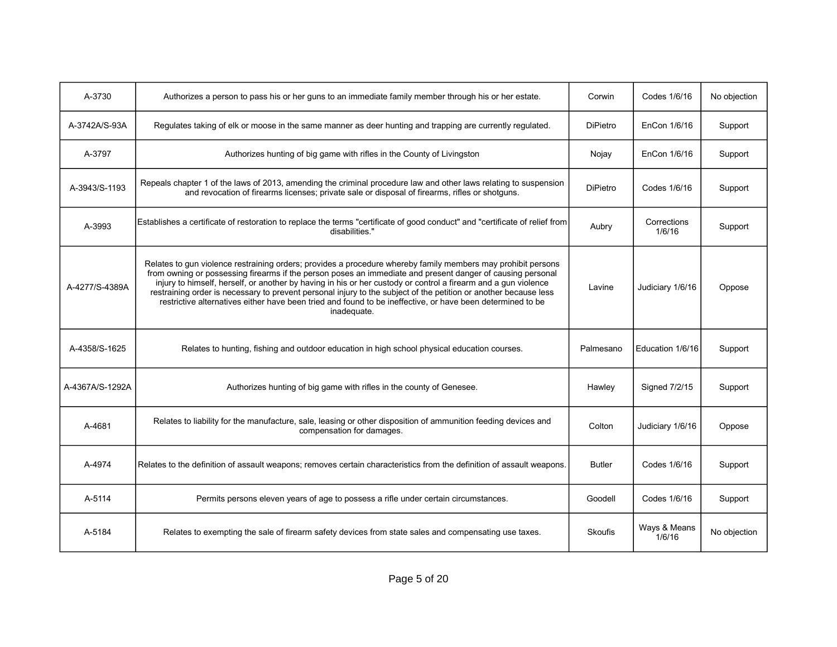| A-3730          | Authorizes a person to pass his or her guns to an immediate family member through his or her estate.                                                                                                                                                                                                                                                                                                                                                                                                                                                                                          | Corwin          | Codes 1/6/16           | No objection |
|-----------------|-----------------------------------------------------------------------------------------------------------------------------------------------------------------------------------------------------------------------------------------------------------------------------------------------------------------------------------------------------------------------------------------------------------------------------------------------------------------------------------------------------------------------------------------------------------------------------------------------|-----------------|------------------------|--------------|
| A-3742A/S-93A   | Regulates taking of elk or moose in the same manner as deer hunting and trapping are currently regulated.                                                                                                                                                                                                                                                                                                                                                                                                                                                                                     | <b>DiPietro</b> | EnCon 1/6/16           | Support      |
| A-3797          | Authorizes hunting of big game with rifles in the County of Livingston                                                                                                                                                                                                                                                                                                                                                                                                                                                                                                                        | Nojay           | EnCon 1/6/16           | Support      |
| A-3943/S-1193   | Repeals chapter 1 of the laws of 2013, amending the criminal procedure law and other laws relating to suspension<br>and revocation of firearms licenses; private sale or disposal of firearms, rifles or shotguns.                                                                                                                                                                                                                                                                                                                                                                            | <b>DiPietro</b> | Codes 1/6/16           | Support      |
| A-3993          | Establishes a certificate of restoration to replace the terms "certificate of good conduct" and "certificate of relief from<br>disabilities."                                                                                                                                                                                                                                                                                                                                                                                                                                                 | Aubry           | Corrections<br>1/6/16  | Support      |
| A-4277/S-4389A  | Relates to gun violence restraining orders; provides a procedure whereby family members may prohibit persons<br>from owning or possessing firearms if the person poses an immediate and present danger of causing personal<br>injury to himself, herself, or another by having in his or her custody or control a firearm and a gun violence<br>restraining order is necessary to prevent personal injury to the subject of the petition or another because less<br>restrictive alternatives either have been tried and found to be ineffective, or have been determined to be<br>inadequate. | Lavine          | Judiciary 1/6/16       | Oppose       |
| A-4358/S-1625   | Relates to hunting, fishing and outdoor education in high school physical education courses.                                                                                                                                                                                                                                                                                                                                                                                                                                                                                                  | Palmesano       | Education 1/6/16       | Support      |
| A-4367A/S-1292A | Authorizes hunting of big game with rifles in the county of Genesee.                                                                                                                                                                                                                                                                                                                                                                                                                                                                                                                          | Hawley          | Signed 7/2/15          | Support      |
| A-4681          | Relates to liability for the manufacture, sale, leasing or other disposition of ammunition feeding devices and<br>compensation for damages.                                                                                                                                                                                                                                                                                                                                                                                                                                                   | Colton          | Judiciary 1/6/16       | Oppose       |
| A-4974          | Relates to the definition of assault weapons; removes certain characteristics from the definition of assault weapons.                                                                                                                                                                                                                                                                                                                                                                                                                                                                         | <b>Butler</b>   | Codes 1/6/16           | Support      |
| A-5114          | Permits persons eleven years of age to possess a rifle under certain circumstances.                                                                                                                                                                                                                                                                                                                                                                                                                                                                                                           | Goodell         | Codes 1/6/16           | Support      |
| A-5184          | Relates to exempting the sale of firearm safety devices from state sales and compensating use taxes.                                                                                                                                                                                                                                                                                                                                                                                                                                                                                          | <b>Skoufis</b>  | Ways & Means<br>1/6/16 | No objection |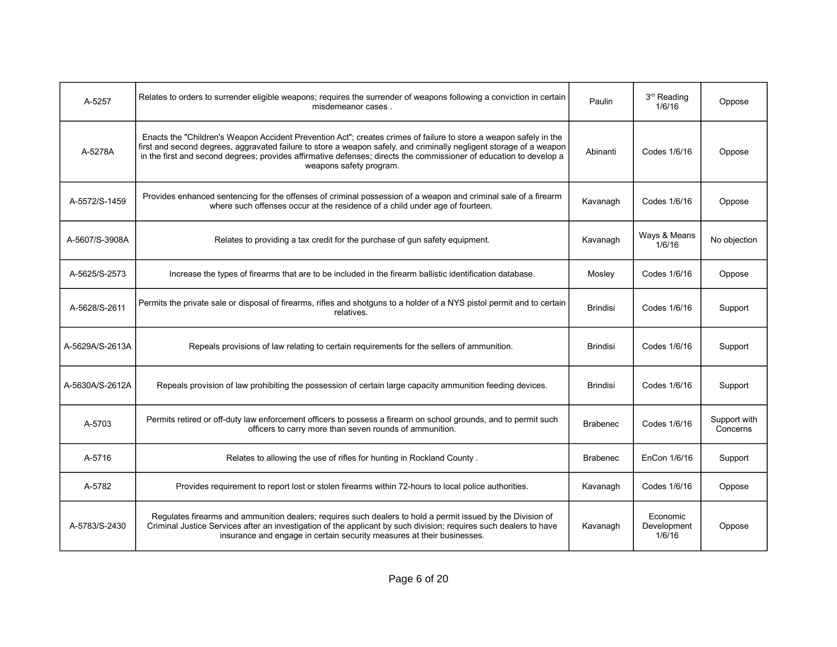| A-5257          | Relates to orders to surrender eligible weapons; requires the surrender of weapons following a conviction in certain<br>misdemeanor cases.                                                                                                                                                                                                                                                | Paulin          | 3 <sup>rd</sup> Reading<br>1/6/16 | Oppose                   |
|-----------------|-------------------------------------------------------------------------------------------------------------------------------------------------------------------------------------------------------------------------------------------------------------------------------------------------------------------------------------------------------------------------------------------|-----------------|-----------------------------------|--------------------------|
| A-5278A         | Enacts the "Children's Weapon Accident Prevention Act"; creates crimes of failure to store a weapon safely in the<br>first and second degrees, aggravated failure to store a weapon safely, and criminally negligent storage of a weapon<br>in the first and second degrees; provides affirmative defenses; directs the commissioner of education to develop a<br>weapons safety program. | Abinanti        | Codes 1/6/16                      | Oppose                   |
| A-5572/S-1459   | Provides enhanced sentencing for the offenses of criminal possession of a weapon and criminal sale of a firearm<br>where such offenses occur at the residence of a child under age of fourteen.                                                                                                                                                                                           | Kavanagh        | Codes 1/6/16                      | Oppose                   |
| A-5607/S-3908A  | Relates to providing a tax credit for the purchase of gun safety equipment.                                                                                                                                                                                                                                                                                                               | Kavanagh        | Ways & Means<br>1/6/16            | No objection             |
| A-5625/S-2573   | Increase the types of firearms that are to be included in the firearm ballistic identification database.                                                                                                                                                                                                                                                                                  | Mosley          | Codes 1/6/16                      | Oppose                   |
| A-5628/S-2611   | Permits the private sale or disposal of firearms, rifles and shotguns to a holder of a NYS pistol permit and to certain<br>relatives.                                                                                                                                                                                                                                                     | <b>Brindisi</b> | Codes 1/6/16                      | Support                  |
| A-5629A/S-2613A | Repeals provisions of law relating to certain requirements for the sellers of ammunition.                                                                                                                                                                                                                                                                                                 | <b>Brindisi</b> | Codes 1/6/16                      | Support                  |
| A-5630A/S-2612A | Repeals provision of law prohibiting the possession of certain large capacity ammunition feeding devices.                                                                                                                                                                                                                                                                                 | <b>Brindisi</b> | Codes 1/6/16                      | Support                  |
| A-5703          | Permits retired or off-duty law enforcement officers to possess a firearm on school grounds, and to permit such<br>officers to carry more than seven rounds of ammunition.                                                                                                                                                                                                                | <b>Brabenec</b> | Codes 1/6/16                      | Support with<br>Concerns |
| A-5716          | Relates to allowing the use of rifles for hunting in Rockland County.                                                                                                                                                                                                                                                                                                                     | <b>Brabenec</b> | EnCon 1/6/16                      | Support                  |
| A-5782          | Provides requirement to report lost or stolen firearms within 72-hours to local police authorities.                                                                                                                                                                                                                                                                                       | Kavanagh        | Codes 1/6/16                      | Oppose                   |
| A-5783/S-2430   | Requlates firearms and ammunition dealers; requires such dealers to hold a permit issued by the Division of<br>Criminal Justice Services after an investigation of the applicant by such division; requires such dealers to have<br>insurance and engage in certain security measures at their businesses.                                                                                | Kavanagh        | Economic<br>Development<br>1/6/16 | Oppose                   |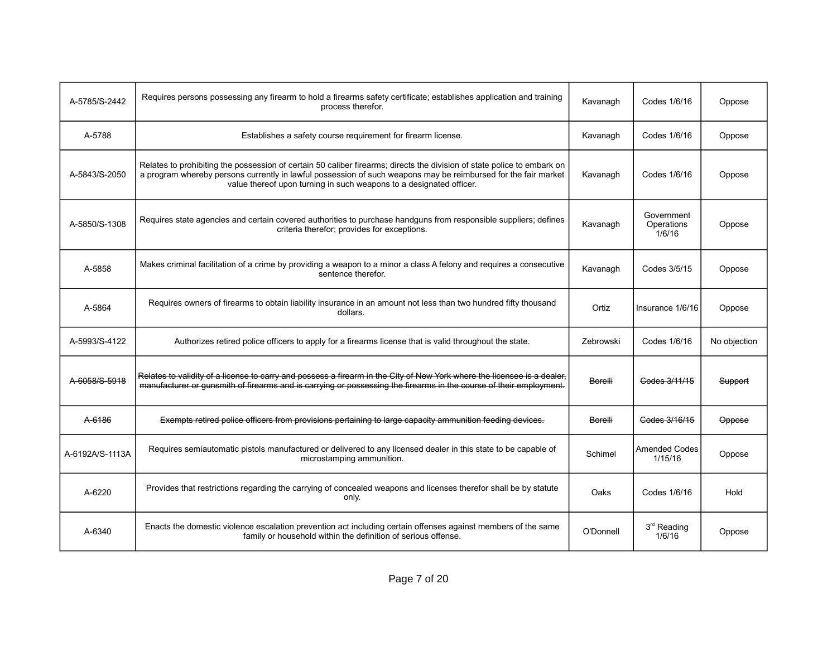| A-5785/S-2442   | Requires persons possessing any firearm to hold a firearms safety certificate; establishes application and training<br>process therefor.                                                                                                                                                                         | Kavanagh       | Codes 1/6/16                       | Oppose       |
|-----------------|------------------------------------------------------------------------------------------------------------------------------------------------------------------------------------------------------------------------------------------------------------------------------------------------------------------|----------------|------------------------------------|--------------|
| A-5788          | Establishes a safety course requirement for firearm license.                                                                                                                                                                                                                                                     | Kavanagh       | Codes 1/6/16                       | Oppose       |
| A-5843/S-2050   | Relates to prohibiting the possession of certain 50 caliber firearms; directs the division of state police to embark on<br>a program whereby persons currently in lawful possession of such weapons may be reimbursed for the fair market<br>value thereof upon turning in such weapons to a designated officer. | Kavanagh       | Codes 1/6/16                       | Oppose       |
| A-5850/S-1308   | Requires state agencies and certain covered authorities to purchase handguns from responsible suppliers; defines<br>criteria therefor; provides for exceptions.                                                                                                                                                  | Kavanagh       | Government<br>Operations<br>1/6/16 | Oppose       |
| A-5858          | Makes criminal facilitation of a crime by providing a weapon to a minor a class A felony and requires a consecutive<br>sentence therefor.                                                                                                                                                                        | Kavanagh       | Codes 3/5/15                       | Oppose       |
| A-5864          | Requires owners of firearms to obtain liability insurance in an amount not less than two hundred fifty thousand<br>dollars.                                                                                                                                                                                      | Ortiz          | Insurance 1/6/16                   | Oppose       |
| A-5993/S-4122   | Authorizes retired police officers to apply for a firearms license that is valid throughout the state.                                                                                                                                                                                                           | Zebrowski      | Codes 1/6/16                       | No objection |
| A-6058/S-5918   | Relates to validity of a license to carry and possess a firearm in the City of New York where the licensee is a dealer,<br>manufacturer or gunsmith of firearms and is carrying or possessing the firearms in the course of their employment.                                                                    | <b>Borelli</b> | Codes 3/11/15                      | Support      |
| A-6186          | Exempts retired police officers from provisions pertaining to large capacity ammunition feeding devices.                                                                                                                                                                                                         | Borelli        | Codes 3/16/15                      | Oppose       |
| A-6192A/S-1113A | Requires semiautomatic pistols manufactured or delivered to any licensed dealer in this state to be capable of<br>microstamping ammunition.                                                                                                                                                                      | Schimel        | <b>Amended Codes</b><br>1/15/16    | Oppose       |
| A-6220          | Provides that restrictions regarding the carrying of concealed weapons and licenses therefor shall be by statute<br>only.                                                                                                                                                                                        | Oaks           | Codes 1/6/16                       | Hold         |
| A-6340          | Enacts the domestic violence escalation prevention act including certain offenses against members of the same<br>family or household within the definition of serious offense.                                                                                                                                   | O'Donnell      | 3 <sup>rd</sup> Reading<br>1/6/16  | Oppose       |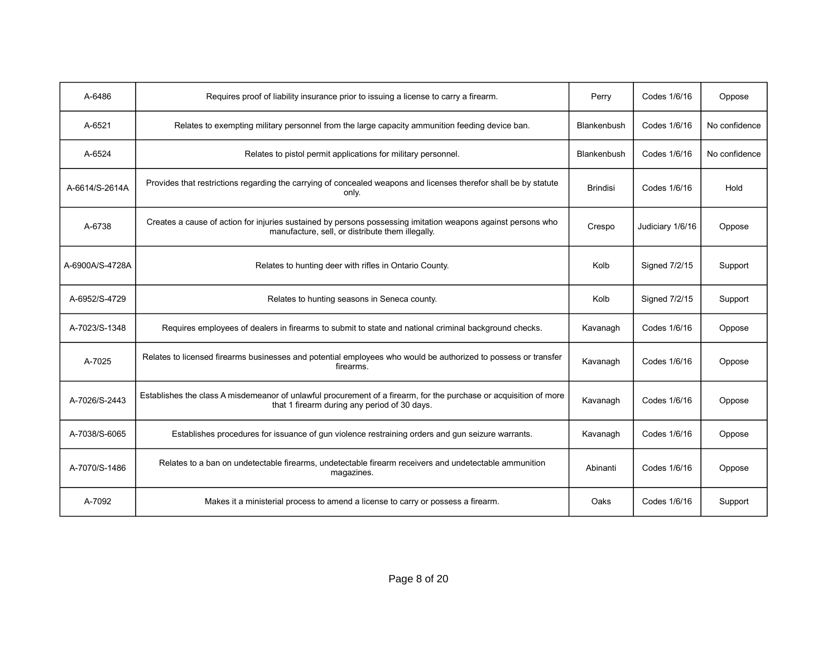| A-6486          | Requires proof of liability insurance prior to issuing a license to carry a firearm.                                                                              | Perry           | Codes 1/6/16     | Oppose        |
|-----------------|-------------------------------------------------------------------------------------------------------------------------------------------------------------------|-----------------|------------------|---------------|
| A-6521          | Relates to exempting military personnel from the large capacity ammunition feeding device ban.                                                                    | Blankenbush     | Codes 1/6/16     | No confidence |
| A-6524          | Relates to pistol permit applications for military personnel.                                                                                                     | Blankenbush     | Codes 1/6/16     | No confidence |
| A-6614/S-2614A  | Provides that restrictions regarding the carrying of concealed weapons and licenses therefor shall be by statute<br>only.                                         | <b>Brindisi</b> | Codes 1/6/16     | Hold          |
| A-6738          | Creates a cause of action for injuries sustained by persons possessing imitation weapons against persons who<br>manufacture, sell, or distribute them illegally.  | Crespo          | Judiciary 1/6/16 | Oppose        |
| A-6900A/S-4728A | Relates to hunting deer with rifles in Ontario County.                                                                                                            | Kolb            | Signed 7/2/15    | Support       |
| A-6952/S-4729   | Relates to hunting seasons in Seneca county.                                                                                                                      | Kolb            | Signed 7/2/15    | Support       |
| A-7023/S-1348   | Requires employees of dealers in firearms to submit to state and national criminal background checks.                                                             | Kavanagh        | Codes 1/6/16     | Oppose        |
| A-7025          | Relates to licensed firearms businesses and potential employees who would be authorized to possess or transfer<br>firearms.                                       | Kavanagh        | Codes 1/6/16     | Oppose        |
| A-7026/S-2443   | Establishes the class A misdemeanor of unlawful procurement of a firearm, for the purchase or acquisition of more<br>that 1 firearm during any period of 30 days. | Kavanagh        | Codes 1/6/16     | Oppose        |
| A-7038/S-6065   | Establishes procedures for issuance of gun violence restraining orders and gun seizure warrants.                                                                  | Kavanagh        | Codes 1/6/16     | Oppose        |
| A-7070/S-1486   | Relates to a ban on undetectable firearms, undetectable firearm receivers and undetectable ammunition<br>magazines.                                               | Abinanti        | Codes 1/6/16     | Oppose        |
| A-7092          | Makes it a ministerial process to amend a license to carry or possess a firearm.                                                                                  | Oaks            | Codes 1/6/16     | Support       |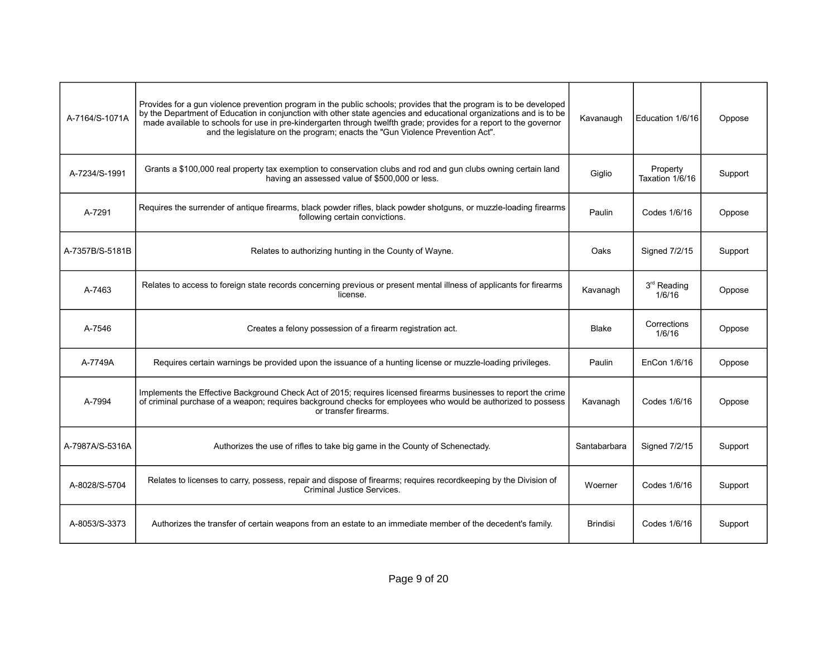| A-7164/S-1071A  | Provides for a gun violence prevention program in the public schools; provides that the program is to be developed<br>by the Department of Education in conjunction with other state agencies and educational organizations and is to be<br>made available to schools for use in pre-kindergarten through twelfth grade; provides for a report to the governor<br>and the legislature on the program; enacts the "Gun Violence Prevention Act". | Kavanaugh       | Education 1/6/16                  | Oppose  |
|-----------------|-------------------------------------------------------------------------------------------------------------------------------------------------------------------------------------------------------------------------------------------------------------------------------------------------------------------------------------------------------------------------------------------------------------------------------------------------|-----------------|-----------------------------------|---------|
| A-7234/S-1991   | Grants a \$100,000 real property tax exemption to conservation clubs and rod and gun clubs owning certain land<br>having an assessed value of \$500,000 or less.                                                                                                                                                                                                                                                                                | Giglio          | Property<br>Taxation 1/6/16       | Support |
| A-7291          | Requires the surrender of antique firearms, black powder rifles, black powder shotguns, or muzzle-loading firearms<br>following certain convictions.                                                                                                                                                                                                                                                                                            | Paulin          | Codes 1/6/16                      | Oppose  |
| A-7357B/S-5181B | Relates to authorizing hunting in the County of Wayne.                                                                                                                                                                                                                                                                                                                                                                                          | Oaks            | Signed 7/2/15                     | Support |
| A-7463          | Relates to access to foreign state records concerning previous or present mental illness of applicants for firearms<br>license.                                                                                                                                                                                                                                                                                                                 | Kavanagh        | 3 <sup>rd</sup> Reading<br>1/6/16 | Oppose  |
| A-7546          | Creates a felony possession of a firearm registration act.                                                                                                                                                                                                                                                                                                                                                                                      | Blake           | Corrections<br>1/6/16             | Oppose  |
| A-7749A         | Requires certain warnings be provided upon the issuance of a hunting license or muzzle-loading privileges.                                                                                                                                                                                                                                                                                                                                      | Paulin          | EnCon 1/6/16                      | Oppose  |
| A-7994          | Implements the Effective Background Check Act of 2015; requires licensed firearms businesses to report the crime<br>of criminal purchase of a weapon; requires background checks for employees who would be authorized to possess<br>or transfer firearms.                                                                                                                                                                                      | Kavanagh        | Codes 1/6/16                      | Oppose  |
| A-7987A/S-5316A | Authorizes the use of rifles to take big game in the County of Schenectady.                                                                                                                                                                                                                                                                                                                                                                     | Santabarbara    | Signed 7/2/15                     | Support |
| A-8028/S-5704   | Relates to licenses to carry, possess, repair and dispose of firearms; requires recordkeeping by the Division of<br><b>Criminal Justice Services.</b>                                                                                                                                                                                                                                                                                           | Woerner         | Codes 1/6/16                      | Support |
| A-8053/S-3373   | Authorizes the transfer of certain weapons from an estate to an immediate member of the decedent's family.                                                                                                                                                                                                                                                                                                                                      | <b>Brindisi</b> | Codes 1/6/16                      | Support |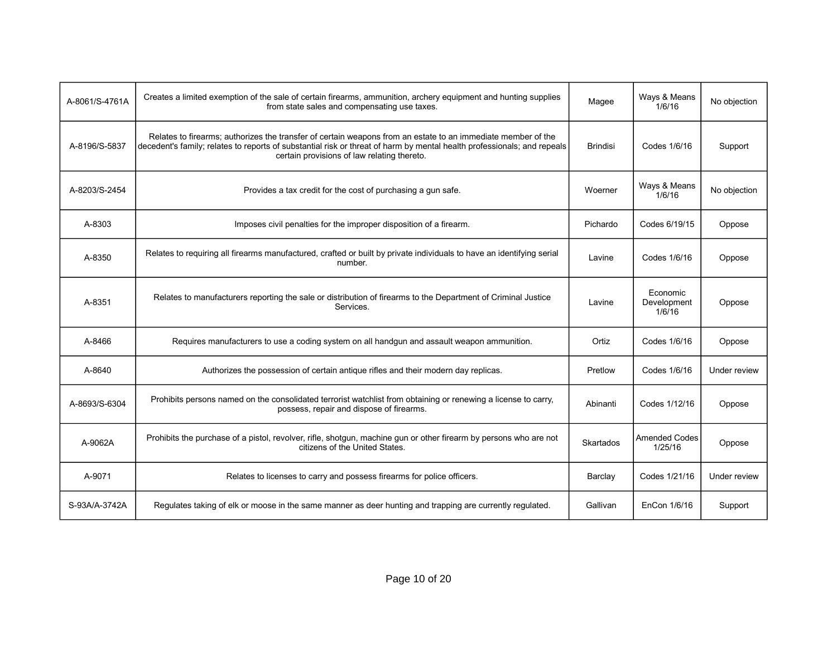| A-8061/S-4761A | Creates a limited exemption of the sale of certain firearms, ammunition, archery equipment and hunting supplies<br>from state sales and compensating use taxes.                                                                                                                        | Magee           | Ways & Means<br>1/6/16            | No objection |
|----------------|----------------------------------------------------------------------------------------------------------------------------------------------------------------------------------------------------------------------------------------------------------------------------------------|-----------------|-----------------------------------|--------------|
| A-8196/S-5837  | Relates to firearms; authorizes the transfer of certain weapons from an estate to an immediate member of the<br>decedent's family; relates to reports of substantial risk or threat of harm by mental health professionals; and repeals<br>certain provisions of law relating thereto. | <b>Brindisi</b> | Codes 1/6/16                      | Support      |
| A-8203/S-2454  | Provides a tax credit for the cost of purchasing a gun safe.                                                                                                                                                                                                                           | Woerner         | Ways & Means<br>1/6/16            | No objection |
| A-8303         | Imposes civil penalties for the improper disposition of a firearm.                                                                                                                                                                                                                     | Pichardo        | Codes 6/19/15                     | Oppose       |
| A-8350         | Relates to requiring all firearms manufactured, crafted or built by private individuals to have an identifying serial<br>number.                                                                                                                                                       | Lavine          | Codes 1/6/16                      | Oppose       |
| A-8351         | Relates to manufacturers reporting the sale or distribution of firearms to the Department of Criminal Justice<br>Services.                                                                                                                                                             | Lavine          | Economic<br>Development<br>1/6/16 | Oppose       |
| A-8466         | Requires manufacturers to use a coding system on all handgun and assault weapon ammunition.                                                                                                                                                                                            | Ortiz           | Codes 1/6/16                      | Oppose       |
| A-8640         | Authorizes the possession of certain antique rifles and their modern day replicas.                                                                                                                                                                                                     | Pretlow         | Codes 1/6/16                      | Under review |
| A-8693/S-6304  | Prohibits persons named on the consolidated terrorist watchlist from obtaining or renewing a license to carry,<br>possess, repair and dispose of firearms.                                                                                                                             | Abinanti        | Codes 1/12/16                     | Oppose       |
| A-9062A        | Prohibits the purchase of a pistol, revolver, rifle, shotgun, machine gun or other firearm by persons who are not<br>citizens of the United States.                                                                                                                                    | Skartados       | <b>Amended Codes</b><br>1/25/16   | Oppose       |
| A-9071         | Relates to licenses to carry and possess firearms for police officers.                                                                                                                                                                                                                 | Barclay         | Codes 1/21/16                     | Under review |
| S-93A/A-3742A  | Regulates taking of elk or moose in the same manner as deer hunting and trapping are currently regulated.                                                                                                                                                                              | Gallivan        | EnCon 1/6/16                      | Support      |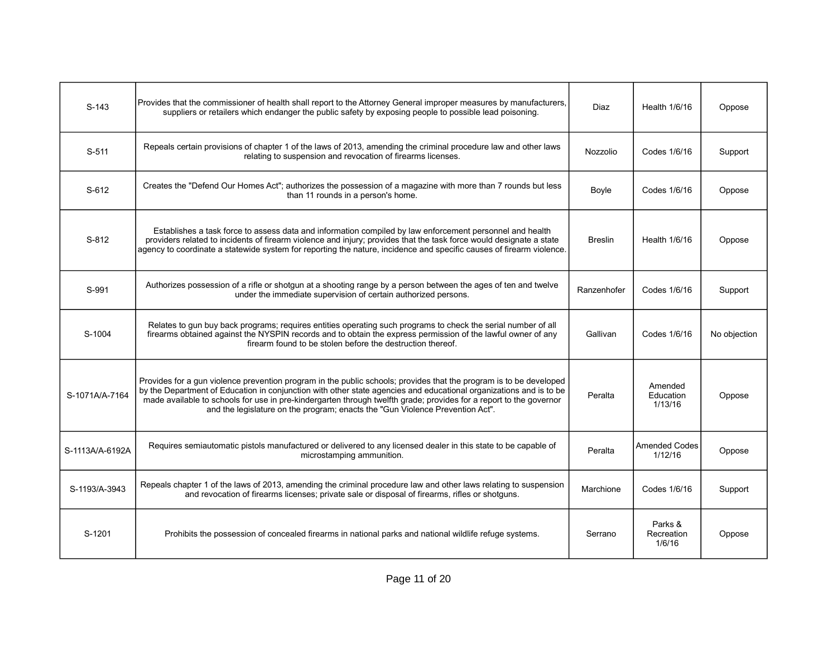| $S-143$         | Provides that the commissioner of health shall report to the Attorney General improper measures by manufacturers,<br>suppliers or retailers which endanger the public safety by exposing people to possible lead poisoning.                                                                                                                                                                                                                     | Diaz           | Health 1/6/16                   | Oppose       |
|-----------------|-------------------------------------------------------------------------------------------------------------------------------------------------------------------------------------------------------------------------------------------------------------------------------------------------------------------------------------------------------------------------------------------------------------------------------------------------|----------------|---------------------------------|--------------|
| $S-511$         | Repeals certain provisions of chapter 1 of the laws of 2013, amending the criminal procedure law and other laws<br>relating to suspension and revocation of firearms licenses.                                                                                                                                                                                                                                                                  | Nozzolio       | Codes 1/6/16                    | Support      |
| S-612           | Creates the "Defend Our Homes Act"; authorizes the possession of a magazine with more than 7 rounds but less<br>than 11 rounds in a person's home.                                                                                                                                                                                                                                                                                              | Boyle          | Codes 1/6/16                    | Oppose       |
| $S-812$         | Establishes a task force to assess data and information compiled by law enforcement personnel and health<br>providers related to incidents of firearm violence and injury; provides that the task force would designate a state<br>agency to coordinate a statewide system for reporting the nature, incidence and specific causes of firearm violence.                                                                                         | <b>Breslin</b> | Health 1/6/16                   | Oppose       |
| S-991           | Authorizes possession of a rifle or shotgun at a shooting range by a person between the ages of ten and twelve<br>under the immediate supervision of certain authorized persons.                                                                                                                                                                                                                                                                | Ranzenhofer    | Codes 1/6/16                    | Support      |
| S-1004          | Relates to gun buy back programs; requires entities operating such programs to check the serial number of all<br>firearms obtained against the NYSPIN records and to obtain the express permission of the lawful owner of any<br>firearm found to be stolen before the destruction thereof.                                                                                                                                                     | Gallivan       | Codes 1/6/16                    | No objection |
| S-1071A/A-7164  | Provides for a gun violence prevention program in the public schools; provides that the program is to be developed<br>by the Department of Education in conjunction with other state agencies and educational organizations and is to be<br>made available to schools for use in pre-kindergarten through twelfth grade; provides for a report to the governor<br>and the legislature on the program; enacts the "Gun Violence Prevention Act". | Peralta        | Amended<br>Education<br>1/13/16 | Oppose       |
| S-1113A/A-6192A | Requires semiautomatic pistols manufactured or delivered to any licensed dealer in this state to be capable of<br>microstamping ammunition.                                                                                                                                                                                                                                                                                                     | Peralta        | <b>Amended Codes</b><br>1/12/16 | Oppose       |
| S-1193/A-3943   | Repeals chapter 1 of the laws of 2013, amending the criminal procedure law and other laws relating to suspension<br>and revocation of firearms licenses; private sale or disposal of firearms, rifles or shotguns.                                                                                                                                                                                                                              | Marchione      | Codes 1/6/16                    | Support      |
| S-1201          | Prohibits the possession of concealed firearms in national parks and national wildlife refuge systems.                                                                                                                                                                                                                                                                                                                                          | Serrano        | Parks &<br>Recreation<br>1/6/16 | Oppose       |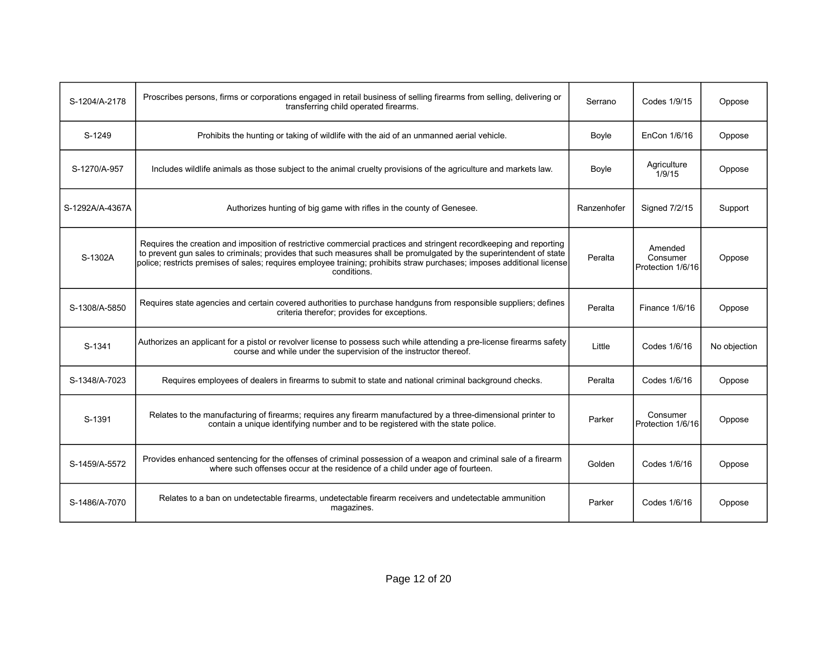| S-1204/A-2178   | Proscribes persons, firms or corporations engaged in retail business of selling firearms from selling, delivering or<br>transferring child operated firearms.                                                                                                                                                                                                                     | Serrano     | Codes 1/9/15                             | Oppose       |
|-----------------|-----------------------------------------------------------------------------------------------------------------------------------------------------------------------------------------------------------------------------------------------------------------------------------------------------------------------------------------------------------------------------------|-------------|------------------------------------------|--------------|
| S-1249          | Prohibits the hunting or taking of wildlife with the aid of an unmanned aerial vehicle.                                                                                                                                                                                                                                                                                           | Boyle       | EnCon 1/6/16                             | Oppose       |
| S-1270/A-957    | Includes wildlife animals as those subject to the animal cruelty provisions of the agriculture and markets law.                                                                                                                                                                                                                                                                   | Boyle       | Agriculture<br>1/9/15                    | Oppose       |
| S-1292A/A-4367A | Authorizes hunting of big game with rifles in the county of Genesee.                                                                                                                                                                                                                                                                                                              | Ranzenhofer | Signed 7/2/15                            | Support      |
| S-1302A         | Requires the creation and imposition of restrictive commercial practices and stringent recordkeeping and reporting<br>to prevent gun sales to criminals; provides that such measures shall be promulgated by the superintendent of state<br>police; restricts premises of sales; requires employee training; prohibits straw purchases; imposes additional license<br>conditions. | Peralta     | Amended<br>Consumer<br>Protection 1/6/16 | Oppose       |
| S-1308/A-5850   | Requires state agencies and certain covered authorities to purchase handguns from responsible suppliers; defines<br>criteria therefor; provides for exceptions.                                                                                                                                                                                                                   | Peralta     | Finance 1/6/16                           | Oppose       |
| S-1341          | Authorizes an applicant for a pistol or revolver license to possess such while attending a pre-license firearms safety<br>course and while under the supervision of the instructor thereof.                                                                                                                                                                                       | Little      | Codes 1/6/16                             | No objection |
| S-1348/A-7023   | Requires employees of dealers in firearms to submit to state and national criminal background checks.                                                                                                                                                                                                                                                                             | Peralta     | Codes 1/6/16                             | Oppose       |
| S-1391          | Relates to the manufacturing of firearms; requires any firearm manufactured by a three-dimensional printer to<br>contain a unique identifying number and to be registered with the state police.                                                                                                                                                                                  | Parker      | Consumer<br>Protection 1/6/16            | Oppose       |
| S-1459/A-5572   | Provides enhanced sentencing for the offenses of criminal possession of a weapon and criminal sale of a firearm<br>where such offenses occur at the residence of a child under age of fourteen.                                                                                                                                                                                   | Golden      | Codes 1/6/16                             | Oppose       |
| S-1486/A-7070   | Relates to a ban on undetectable firearms, undetectable firearm receivers and undetectable ammunition<br>magazines.                                                                                                                                                                                                                                                               | Parker      | Codes 1/6/16                             | Oppose       |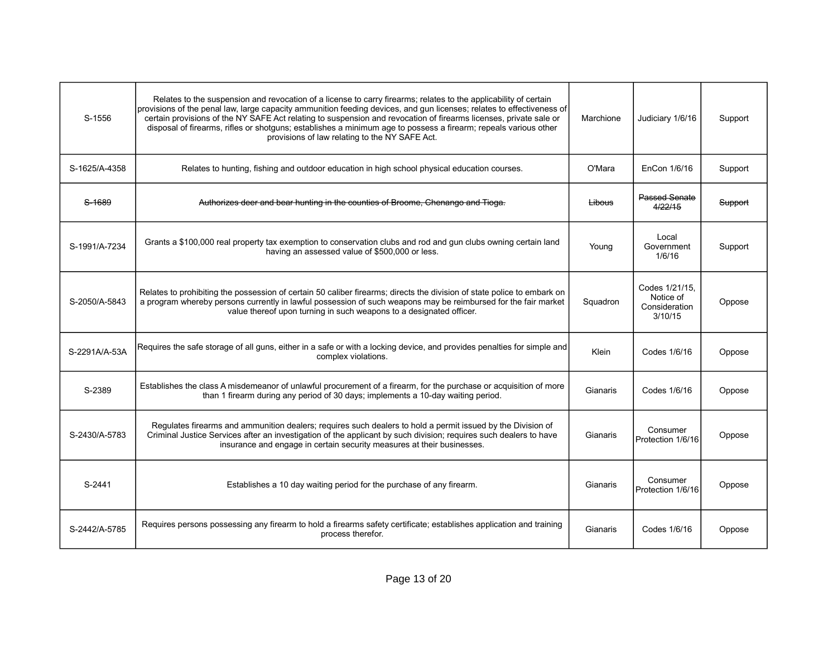| S-1556        | Relates to the suspension and revocation of a license to carry firearms; relates to the applicability of certain<br>provisions of the penal law, large capacity ammunition feeding devices, and gun licenses; relates to effectiveness of<br>certain provisions of the NY SAFE Act relating to suspension and revocation of firearms licenses, private sale or<br>disposal of firearms, rifles or shotguns; establishes a minimum age to possess a firearm; repeals various other<br>provisions of law relating to the NY SAFE Act. | Marchione | Judiciary 1/6/16                                        | Support |
|---------------|-------------------------------------------------------------------------------------------------------------------------------------------------------------------------------------------------------------------------------------------------------------------------------------------------------------------------------------------------------------------------------------------------------------------------------------------------------------------------------------------------------------------------------------|-----------|---------------------------------------------------------|---------|
| S-1625/A-4358 | Relates to hunting, fishing and outdoor education in high school physical education courses.                                                                                                                                                                                                                                                                                                                                                                                                                                        | O'Mara    | EnCon 1/6/16                                            | Support |
| S-1689        | Authorizes deer and bear hunting in the counties of Broome, Chenango and Tioga.                                                                                                                                                                                                                                                                                                                                                                                                                                                     | Libous    | Passed Senate<br>4/22/15                                | Support |
| S-1991/A-7234 | Grants a \$100,000 real property tax exemption to conservation clubs and rod and gun clubs owning certain land<br>having an assessed value of \$500,000 or less.                                                                                                                                                                                                                                                                                                                                                                    | Young     | Local<br>Government<br>1/6/16                           | Support |
| S-2050/A-5843 | Relates to prohibiting the possession of certain 50 caliber firearms; directs the division of state police to embark on<br>a program whereby persons currently in lawful possession of such weapons may be reimbursed for the fair market<br>value thereof upon turning in such weapons to a designated officer.                                                                                                                                                                                                                    | Squadron  | Codes 1/21/15.<br>Notice of<br>Consideration<br>3/10/15 | Oppose  |
| S-2291A/A-53A | Requires the safe storage of all guns, either in a safe or with a locking device, and provides penalties for simple and<br>complex violations.                                                                                                                                                                                                                                                                                                                                                                                      | Klein     | Codes 1/6/16                                            | Oppose  |
| S-2389        | Establishes the class A misdemeanor of unlawful procurement of a firearm, for the purchase or acquisition of more<br>than 1 firearm during any period of 30 days; implements a 10-day waiting period.                                                                                                                                                                                                                                                                                                                               | Gianaris  | Codes 1/6/16                                            | Oppose  |
| S-2430/A-5783 | Regulates firearms and ammunition dealers; requires such dealers to hold a permit issued by the Division of<br>Criminal Justice Services after an investigation of the applicant by such division; requires such dealers to have<br>insurance and engage in certain security measures at their businesses.                                                                                                                                                                                                                          | Gianaris  | Consumer<br>Protection 1/6/16                           | Oppose  |
| S-2441        | Establishes a 10 day waiting period for the purchase of any firearm.                                                                                                                                                                                                                                                                                                                                                                                                                                                                | Gianaris  | Consumer<br>Protection 1/6/16                           | Oppose  |
| S-2442/A-5785 | Requires persons possessing any firearm to hold a firearms safety certificate; establishes application and training<br>process therefor.                                                                                                                                                                                                                                                                                                                                                                                            | Gianaris  | Codes 1/6/16                                            | Oppose  |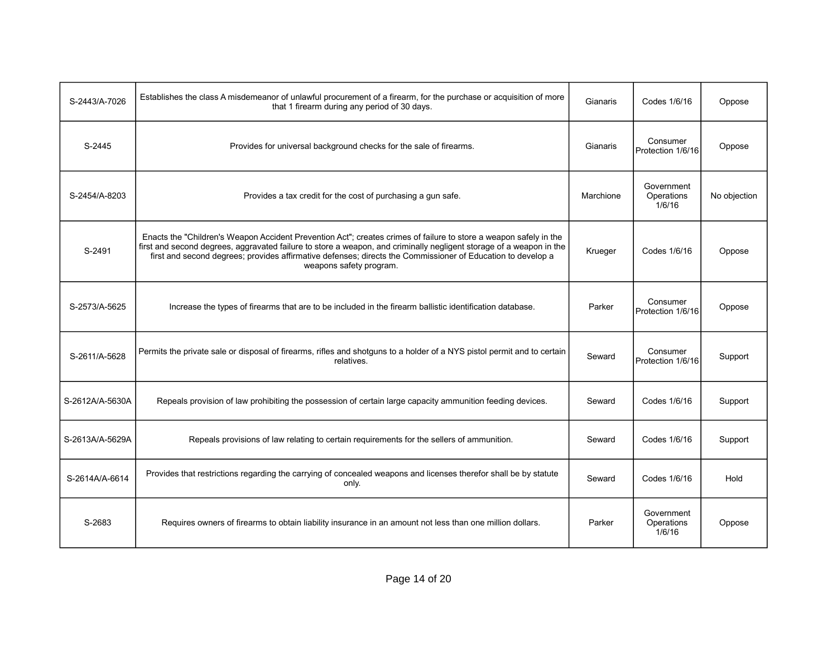| S-2443/A-7026   | Establishes the class A misdemeanor of unlawful procurement of a firearm, for the purchase or acquisition of more<br>that 1 firearm during any period of 30 days.                                                                                                                                                                                                                  | Gianaris  | Codes 1/6/16                       | Oppose       |
|-----------------|------------------------------------------------------------------------------------------------------------------------------------------------------------------------------------------------------------------------------------------------------------------------------------------------------------------------------------------------------------------------------------|-----------|------------------------------------|--------------|
| S-2445          | Provides for universal background checks for the sale of firearms.                                                                                                                                                                                                                                                                                                                 | Gianaris  | Consumer<br>Protection 1/6/16      | Oppose       |
| S-2454/A-8203   | Provides a tax credit for the cost of purchasing a gun safe.                                                                                                                                                                                                                                                                                                                       | Marchione | Government<br>Operations<br>1/6/16 | No objection |
| S-2491          | Enacts the "Children's Weapon Accident Prevention Act"; creates crimes of failure to store a weapon safely in the<br>first and second degrees, aggravated failure to store a weapon, and criminally negligent storage of a weapon in the<br>first and second degrees; provides affirmative defenses; directs the Commissioner of Education to develop a<br>weapons safety program. | Krueger   | Codes 1/6/16                       | Oppose       |
| S-2573/A-5625   | Increase the types of firearms that are to be included in the firearm ballistic identification database.                                                                                                                                                                                                                                                                           | Parker    | Consumer<br>Protection 1/6/16      | Oppose       |
| S-2611/A-5628   | Permits the private sale or disposal of firearms, rifles and shotguns to a holder of a NYS pistol permit and to certain<br>relatives.                                                                                                                                                                                                                                              | Seward    | Consumer<br>Protection 1/6/16      | Support      |
| S-2612A/A-5630A | Repeals provision of law prohibiting the possession of certain large capacity ammunition feeding devices.                                                                                                                                                                                                                                                                          | Seward    | Codes 1/6/16                       | Support      |
| S-2613A/A-5629A | Repeals provisions of law relating to certain requirements for the sellers of ammunition.                                                                                                                                                                                                                                                                                          | Seward    | Codes 1/6/16                       | Support      |
| S-2614A/A-6614  | Provides that restrictions regarding the carrying of concealed weapons and licenses therefor shall be by statute<br>only.                                                                                                                                                                                                                                                          | Seward    | Codes 1/6/16                       | Hold         |
| S-2683          | Requires owners of firearms to obtain liability insurance in an amount not less than one million dollars.                                                                                                                                                                                                                                                                          | Parker    | Government<br>Operations<br>1/6/16 | Oppose       |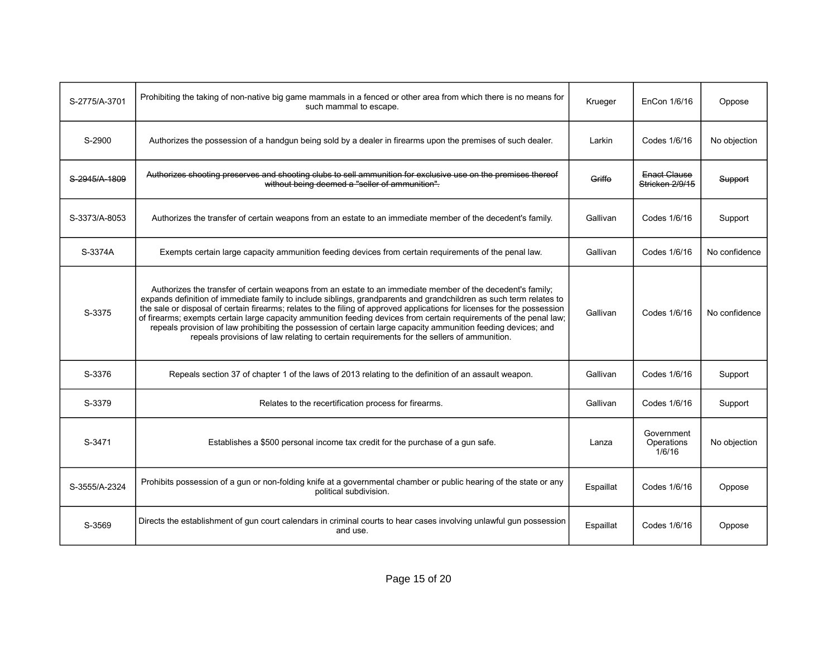| S-2775/A-3701 | Prohibiting the taking of non-native big game mammals in a fenced or other area from which there is no means for<br>such mammal to escape.                                                                                                                                                                                                                                                                                                                                                                                                                                                                                                                                                       | Krueger   | EnCon 1/6/16                       | Oppose        |
|---------------|--------------------------------------------------------------------------------------------------------------------------------------------------------------------------------------------------------------------------------------------------------------------------------------------------------------------------------------------------------------------------------------------------------------------------------------------------------------------------------------------------------------------------------------------------------------------------------------------------------------------------------------------------------------------------------------------------|-----------|------------------------------------|---------------|
| S-2900        | Authorizes the possession of a handgun being sold by a dealer in firearms upon the premises of such dealer.                                                                                                                                                                                                                                                                                                                                                                                                                                                                                                                                                                                      | Larkin    | Codes 1/6/16                       | No objection  |
| S-2945/A-1809 | Authorizes shooting preserves and shooting clubs to sell ammunition for exclusive use on the premises thereof<br>without being deemed a "seller of ammunition".                                                                                                                                                                                                                                                                                                                                                                                                                                                                                                                                  | Griffo    | Enact Clause<br>Stricken 2/9/15    | Support       |
| S-3373/A-8053 | Authorizes the transfer of certain weapons from an estate to an immediate member of the decedent's family.                                                                                                                                                                                                                                                                                                                                                                                                                                                                                                                                                                                       | Gallivan  | Codes 1/6/16                       | Support       |
| S-3374A       | Exempts certain large capacity ammunition feeding devices from certain requirements of the penal law.                                                                                                                                                                                                                                                                                                                                                                                                                                                                                                                                                                                            | Gallivan  | Codes 1/6/16                       | No confidence |
| S-3375        | Authorizes the transfer of certain weapons from an estate to an immediate member of the decedent's family;<br>expands definition of immediate family to include siblings, grandparents and grandchildren as such term relates to<br>the sale or disposal of certain firearms; relates to the filing of approved applications for licenses for the possession<br>of firearms; exempts certain large capacity ammunition feeding devices from certain requirements of the penal law;<br>repeals provision of law prohibiting the possession of certain large capacity ammunition feeding devices; and<br>repeals provisions of law relating to certain requirements for the sellers of ammunition. | Gallivan  | Codes 1/6/16                       | No confidence |
| S-3376        | Repeals section 37 of chapter 1 of the laws of 2013 relating to the definition of an assault weapon.                                                                                                                                                                                                                                                                                                                                                                                                                                                                                                                                                                                             | Gallivan  | Codes 1/6/16                       | Support       |
| S-3379        | Relates to the recertification process for firearms.                                                                                                                                                                                                                                                                                                                                                                                                                                                                                                                                                                                                                                             | Gallivan  | Codes 1/6/16                       | Support       |
| S-3471        | Establishes a \$500 personal income tax credit for the purchase of a gun safe.                                                                                                                                                                                                                                                                                                                                                                                                                                                                                                                                                                                                                   | Lanza     | Government<br>Operations<br>1/6/16 | No objection  |
| S-3555/A-2324 | Prohibits possession of a gun or non-folding knife at a governmental chamber or public hearing of the state or any<br>political subdivision.                                                                                                                                                                                                                                                                                                                                                                                                                                                                                                                                                     | Espaillat | Codes 1/6/16                       | Oppose        |
| S-3569        | Directs the establishment of gun court calendars in criminal courts to hear cases involving unlawful gun possession<br>and use.                                                                                                                                                                                                                                                                                                                                                                                                                                                                                                                                                                  | Espaillat | Codes 1/6/16                       | Oppose        |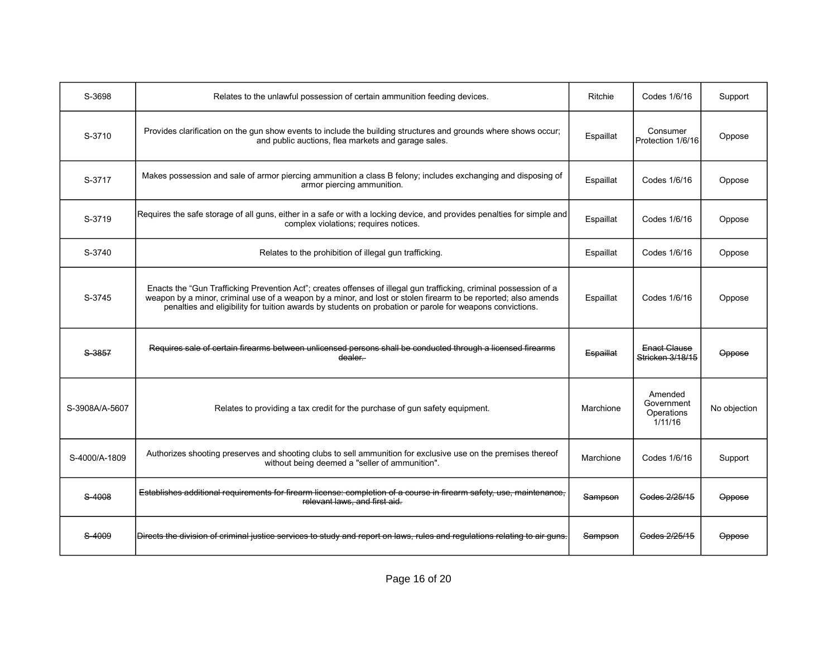| S-3698         | Relates to the unlawful possession of certain ammunition feeding devices.                                                                                                                                                                                                                                                                        | Ritchie   | Codes 1/6/16                                   | Support       |
|----------------|--------------------------------------------------------------------------------------------------------------------------------------------------------------------------------------------------------------------------------------------------------------------------------------------------------------------------------------------------|-----------|------------------------------------------------|---------------|
| S-3710         | Provides clarification on the gun show events to include the building structures and grounds where shows occur;<br>and public auctions, flea markets and garage sales.                                                                                                                                                                           | Espaillat | Consumer<br>Protection 1/6/16                  | Oppose        |
| S-3717         | Makes possession and sale of armor piercing ammunition a class B felony; includes exchanging and disposing of<br>armor piercing ammunition.                                                                                                                                                                                                      | Espaillat | Codes 1/6/16                                   | Oppose        |
| S-3719         | Requires the safe storage of all guns, either in a safe or with a locking device, and provides penalties for simple and<br>complex violations; requires notices.                                                                                                                                                                                 | Espaillat | Codes 1/6/16                                   | Oppose        |
| S-3740         | Relates to the prohibition of illegal gun trafficking.                                                                                                                                                                                                                                                                                           | Espaillat | Codes 1/6/16                                   | Oppose        |
| S-3745         | Enacts the "Gun Trafficking Prevention Act"; creates offenses of illegal gun trafficking, criminal possession of a<br>weapon by a minor, criminal use of a weapon by a minor, and lost or stolen firearm to be reported; also amends<br>penalties and eligibility for tuition awards by students on probation or parole for weapons convictions. | Espaillat | Codes 1/6/16                                   | Oppose        |
| S-3857         | Requires sale of certain firearms between unlicensed persons shall be conducted through a licensed firearms<br>dealer.                                                                                                                                                                                                                           | Espaillat | Enact Clause<br>Stricken 3/18/15               | Oppose        |
| S-3908A/A-5607 | Relates to providing a tax credit for the purchase of gun safety equipment.                                                                                                                                                                                                                                                                      | Marchione | Amended<br>Government<br>Operations<br>1/11/16 | No objection  |
| S-4000/A-1809  | Authorizes shooting preserves and shooting clubs to sell ammunition for exclusive use on the premises thereof<br>without being deemed a "seller of ammunition".                                                                                                                                                                                  | Marchione | Codes 1/6/16                                   | Support       |
| S-4008         | Establishes additional requirements for firearm license: completion of a course in firearm safety, use, maintenance,<br>relevant laws, and first aid.                                                                                                                                                                                            | Sampson   | Codes 2/25/15                                  | Oppose        |
| S-4009         | Directs the division of criminal justice services to study and report on laws, rules and regulations relating to air guns.                                                                                                                                                                                                                       | Sampson   | Codes 2/25/15                                  | <b>Oppose</b> |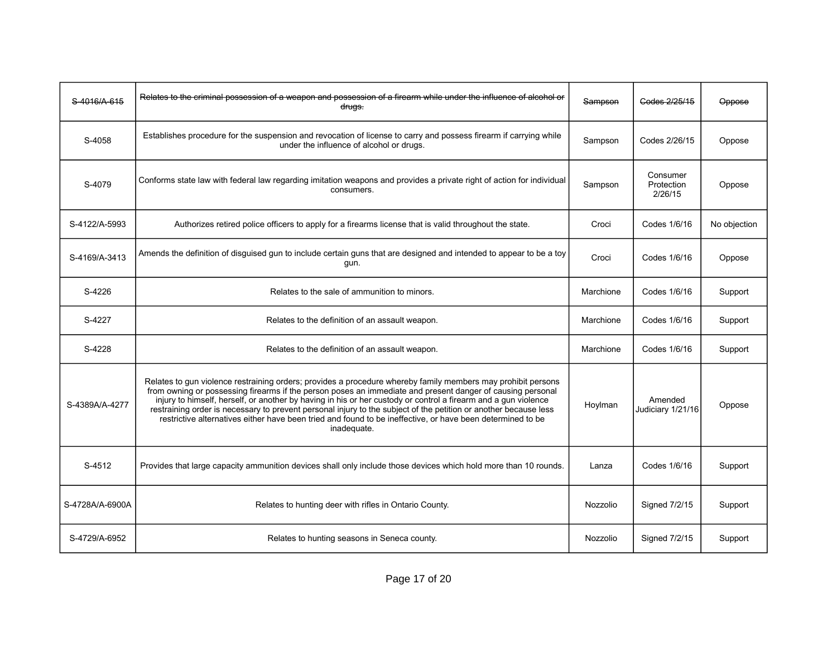| S-4016/A-615    | Relates to the criminal possession of a weapon and possession of a firearm while under the influence of alcohol or<br>drugs.                                                                                                                                                                                                                                                                                                                                                                                                                                                                  | Sampson   | Godes 2/25/15                     | Oppose       |
|-----------------|-----------------------------------------------------------------------------------------------------------------------------------------------------------------------------------------------------------------------------------------------------------------------------------------------------------------------------------------------------------------------------------------------------------------------------------------------------------------------------------------------------------------------------------------------------------------------------------------------|-----------|-----------------------------------|--------------|
| S-4058          | Establishes procedure for the suspension and revocation of license to carry and possess firearm if carrying while<br>under the influence of alcohol or drugs.                                                                                                                                                                                                                                                                                                                                                                                                                                 | Sampson   | Codes 2/26/15                     | Oppose       |
| S-4079          | Conforms state law with federal law regarding imitation weapons and provides a private right of action for individual<br>consumers.                                                                                                                                                                                                                                                                                                                                                                                                                                                           | Sampson   | Consumer<br>Protection<br>2/26/15 | Oppose       |
| S-4122/A-5993   | Authorizes retired police officers to apply for a firearms license that is valid throughout the state.                                                                                                                                                                                                                                                                                                                                                                                                                                                                                        | Croci     | Codes 1/6/16                      | No objection |
| S-4169/A-3413   | Amends the definition of disguised gun to include certain guns that are designed and intended to appear to be a toy<br>gun.                                                                                                                                                                                                                                                                                                                                                                                                                                                                   | Croci     | Codes 1/6/16                      | Oppose       |
| S-4226          | Relates to the sale of ammunition to minors.                                                                                                                                                                                                                                                                                                                                                                                                                                                                                                                                                  | Marchione | Codes 1/6/16                      | Support      |
| S-4227          | Relates to the definition of an assault weapon.                                                                                                                                                                                                                                                                                                                                                                                                                                                                                                                                               | Marchione | Codes 1/6/16                      | Support      |
| S-4228          | Relates to the definition of an assault weapon.                                                                                                                                                                                                                                                                                                                                                                                                                                                                                                                                               | Marchione | Codes 1/6/16                      | Support      |
| S-4389A/A-4277  | Relates to gun violence restraining orders; provides a procedure whereby family members may prohibit persons<br>from owning or possessing firearms if the person poses an immediate and present danger of causing personal<br>injury to himself, herself, or another by having in his or her custody or control a firearm and a gun violence<br>restraining order is necessary to prevent personal injury to the subject of the petition or another because less<br>restrictive alternatives either have been tried and found to be ineffective, or have been determined to be<br>inadequate. | Hoylman   | Amended<br>Judiciary 1/21/16      | Oppose       |
| S-4512          | Provides that large capacity ammunition devices shall only include those devices which hold more than 10 rounds.                                                                                                                                                                                                                                                                                                                                                                                                                                                                              | Lanza     | Codes 1/6/16                      | Support      |
| S-4728A/A-6900A | Relates to hunting deer with rifles in Ontario County.                                                                                                                                                                                                                                                                                                                                                                                                                                                                                                                                        | Nozzolio  | Signed 7/2/15                     | Support      |
| S-4729/A-6952   | Relates to hunting seasons in Seneca county.                                                                                                                                                                                                                                                                                                                                                                                                                                                                                                                                                  | Nozzolio  | Signed 7/2/15                     | Support      |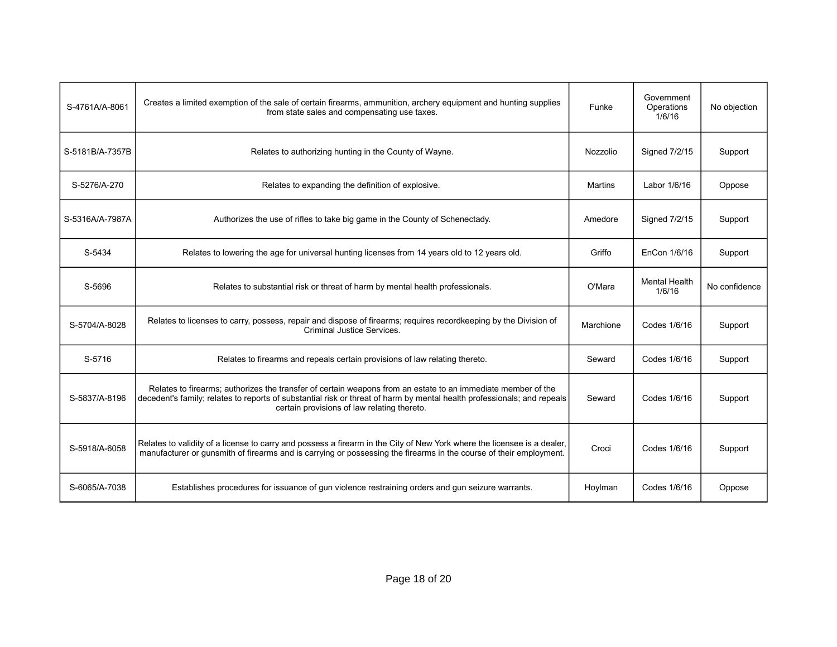| S-4761A/A-8061  | Creates a limited exemption of the sale of certain firearms, ammunition, archery equipment and hunting supplies<br>from state sales and compensating use taxes.                                                                                                                        | Funke     | Government<br>Operations<br>1/6/16 | No objection  |
|-----------------|----------------------------------------------------------------------------------------------------------------------------------------------------------------------------------------------------------------------------------------------------------------------------------------|-----------|------------------------------------|---------------|
| S-5181B/A-7357B | Relates to authorizing hunting in the County of Wayne.                                                                                                                                                                                                                                 | Nozzolio  | Signed 7/2/15                      | Support       |
| S-5276/A-270    | Relates to expanding the definition of explosive.                                                                                                                                                                                                                                      | Martins   | Labor 1/6/16                       | Oppose        |
| S-5316A/A-7987A | Authorizes the use of rifles to take big game in the County of Schenectady.                                                                                                                                                                                                            | Amedore   | Signed 7/2/15                      | Support       |
| S-5434          | Relates to lowering the age for universal hunting licenses from 14 years old to 12 years old.                                                                                                                                                                                          | Griffo    | EnCon 1/6/16                       | Support       |
| S-5696          | Relates to substantial risk or threat of harm by mental health professionals.                                                                                                                                                                                                          | O'Mara    | <b>Mental Health</b><br>1/6/16     | No confidence |
| S-5704/A-8028   | Relates to licenses to carry, possess, repair and dispose of firearms; requires recordkeeping by the Division of<br><b>Criminal Justice Services.</b>                                                                                                                                  | Marchione | Codes 1/6/16                       | Support       |
| S-5716          | Relates to firearms and repeals certain provisions of law relating thereto.                                                                                                                                                                                                            | Seward    | Codes 1/6/16                       | Support       |
| S-5837/A-8196   | Relates to firearms; authorizes the transfer of certain weapons from an estate to an immediate member of the<br>decedent's family; relates to reports of substantial risk or threat of harm by mental health professionals; and repeals<br>certain provisions of law relating thereto. | Seward    | Codes 1/6/16                       | Support       |
| S-5918/A-6058   | Relates to validity of a license to carry and possess a firearm in the City of New York where the licensee is a dealer.<br>manufacturer or gunsmith of firearms and is carrying or possessing the firearms in the course of their employment.                                          | Croci     | Codes 1/6/16                       | Support       |
| S-6065/A-7038   | Establishes procedures for issuance of gun violence restraining orders and gun seizure warrants.                                                                                                                                                                                       | Hoylman   | Codes 1/6/16                       | Oppose        |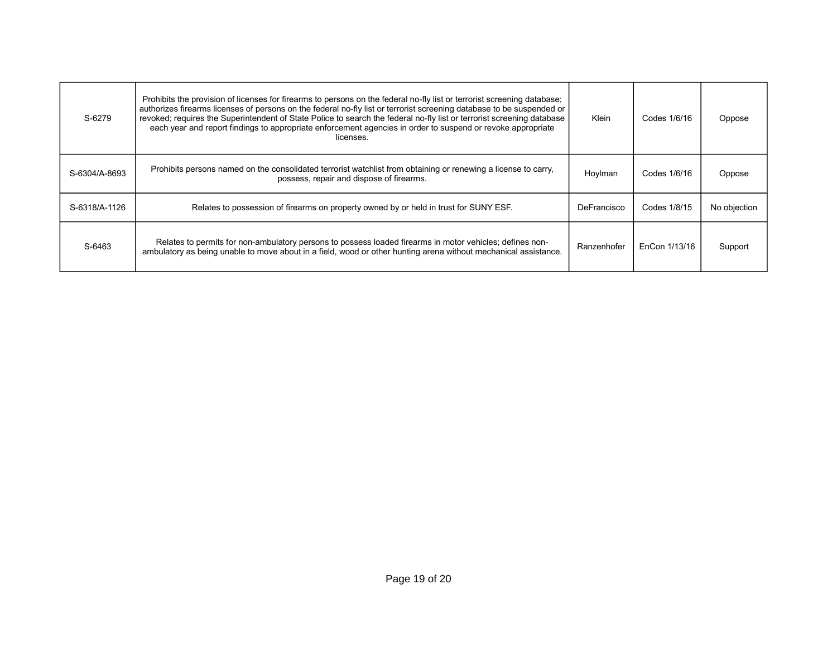| S-6279        | Prohibits the provision of licenses for firearms to persons on the federal no-fly list or terrorist screening database;<br>authorizes firearms licenses of persons on the federal no-fly list or terrorist screening database to be suspended or<br>revoked; requires the Superintendent of State Police to search the federal no-fly list or terrorist screening database<br>each year and report findings to appropriate enforcement agencies in order to suspend or revoke appropriate<br>licenses. | Klein       | Codes 1/6/16  | Oppose       |
|---------------|--------------------------------------------------------------------------------------------------------------------------------------------------------------------------------------------------------------------------------------------------------------------------------------------------------------------------------------------------------------------------------------------------------------------------------------------------------------------------------------------------------|-------------|---------------|--------------|
| S-6304/A-8693 | Prohibits persons named on the consolidated terrorist watchlist from obtaining or renewing a license to carry,<br>possess, repair and dispose of firearms.                                                                                                                                                                                                                                                                                                                                             | Hoylman     | Codes 1/6/16  | Oppose       |
| S-6318/A-1126 | Relates to possession of firearms on property owned by or held in trust for SUNY ESF.                                                                                                                                                                                                                                                                                                                                                                                                                  | DeFrancisco | Codes 1/8/15  | No objection |
| S-6463        | Relates to permits for non-ambulatory persons to possess loaded firearms in motor vehicles; defines non-<br>ambulatory as being unable to move about in a field, wood or other hunting arena without mechanical assistance.                                                                                                                                                                                                                                                                            | Ranzenhofer | EnCon 1/13/16 | Support      |